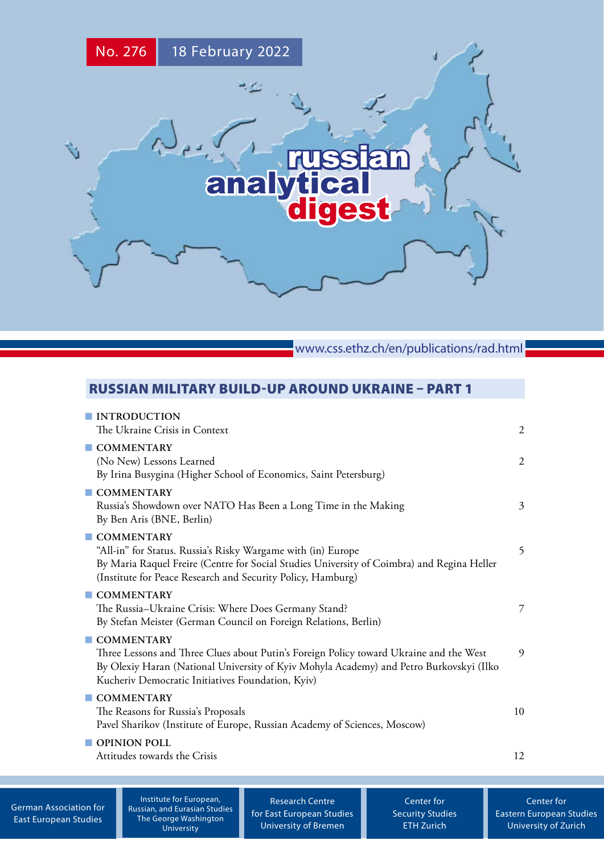

www.css.ethz.ch/en/publications/rad.html

# RUSSIAN MILITARY BUILD-UP AROUND UKRAINE – PART 1

| <b>INTRODUCTION</b><br>The Ukraine Crisis in Context                                                                                                                                                                                                 | $\overline{2}$ |
|------------------------------------------------------------------------------------------------------------------------------------------------------------------------------------------------------------------------------------------------------|----------------|
| COMMENTARY<br>(No New) Lessons Learned<br>By Irina Busygina (Higher School of Economics, Saint Petersburg)                                                                                                                                           | $\overline{2}$ |
| COMMENTARY<br>Russia's Showdown over NATO Has Been a Long Time in the Making<br>By Ben Aris (BNE, Berlin)                                                                                                                                            | 3              |
| COMMENTARY<br>"All-in" for Status. Russia's Risky Wargame with (in) Europe<br>By Maria Raquel Freire (Centre for Social Studies University of Coimbra) and Regina Heller<br>(Institute for Peace Research and Security Policy, Hamburg)              | 5              |
| $\blacksquare$ COMMENTARY<br>The Russia-Ukraine Crisis: Where Does Germany Stand?<br>By Stefan Meister (German Council on Foreign Relations, Berlin)                                                                                                 | 7              |
| COMMENTARY<br>Three Lessons and Three Clues about Putin's Foreign Policy toward Ukraine and the West<br>By Olexiy Haran (National University of Kyiv Mohyla Academy) and Petro Burkovskyi (Ilko<br>Kucheriv Democratic Initiatives Foundation, Kyiv) | 9              |
| COMMENTARY<br>The Reasons for Russia's Proposals<br>Pavel Sharikov (Institute of Europe, Russian Academy of Sciences, Moscow)                                                                                                                        | 10             |
| OPINION POLL<br>Attitudes towards the Crisis                                                                                                                                                                                                         | 12             |

[German Association for](http://www.dgo-online.org/) [East European Studies](http://www.dgo-online.org/)

Institute for European, [Russian, and Eurasian Studies](https://ieres.elliott.gwu.edu) The George Washington University

[Research Centre](http://www.forschungsstelle.uni-bremen.de/) [for East European Studies](http://www.forschungsstelle.uni-bremen.de/) [University of Bremen](http://www.forschungsstelle.uni-bremen.de/)

[Center for](http://www.css.ethz.ch/) [Security Studies](http://www.css.ethz.ch/) [ETH Zurich](http://www.css.ethz.ch/)

[Center for](http://www.cees.uzh.ch/) [Eastern European Studies](http://www.cees.uzh.ch/) [University of Zurich](http://www.cees.uzh.ch/)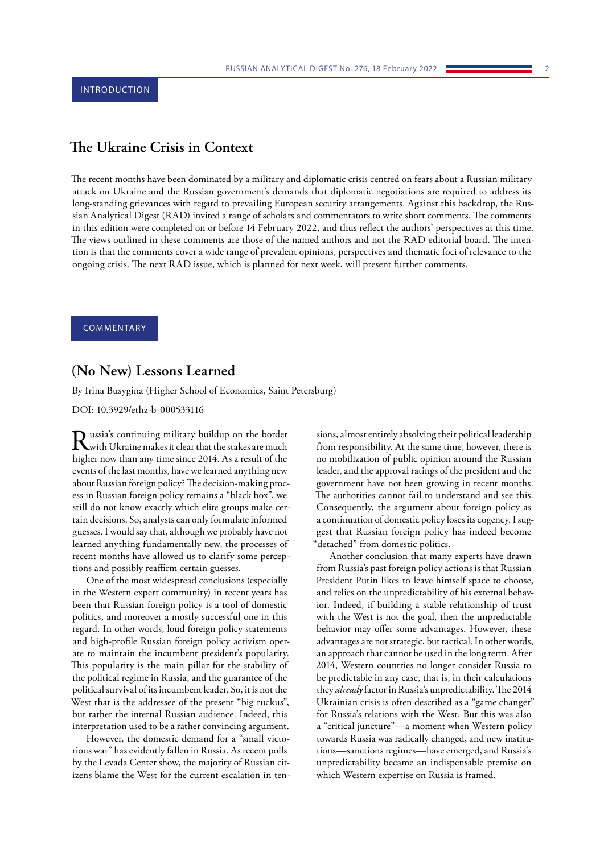# <span id="page-1-0"></span>**The Ukraine Crisis in Context**

The recent months have been dominated by a military and diplomatic crisis centred on fears about a Russian military attack on Ukraine and the Russian government's demands that diplomatic negotiations are required to address its long-standing grievances with regard to prevailing European security arrangements. Against this backdrop, the Russian Analytical Digest (RAD) invited a range of scholars and commentators to write short comments. The comments in this edition were completed on or before 14 February 2022, and thus reflect the authors' perspectives at this time. The views outlined in these comments are those of the named authors and not the RAD editorial board. The intention is that the comments cover a wide range of prevalent opinions, perspectives and thematic foci of relevance to the ongoing crisis. The next RAD issue, which is planned for next week, will present further comments.

# COMMENTARY

# **(No New) Lessons Learned**

By Irina Busygina (Higher School of Economics, Saint Petersburg)

DOI: 10.3929/ethz-b-000533116

 $\sum_{\text{with}}$  Ussia's continuing military buildup on the border<br> $\sum_{\text{with}}$  Ukraine makes it clear that the stakes are much higher now than any time since 2014. As a result of the events of the last months, have we learned anything new about Russian foreign policy? The decision-making process in Russian foreign policy remains a "black box", we still do not know exactly which elite groups make certain decisions. So, analysts can only formulate informed guesses. I would say that, although we probably have not learned anything fundamentally new, the processes of recent months have allowed us to clarify some perceptions and possibly reaffirm certain guesses.

One of the most widespread conclusions (especially in the Western expert community) in recent years has been that Russian foreign policy is a tool of domestic politics, and moreover a mostly successful one in this regard. In other words, loud foreign policy statements and high-profile Russian foreign policy activism operate to maintain the incumbent president's popularity. This popularity is the main pillar for the stability of the political regime in Russia, and the guarantee of the political survival of its incumbent leader. So, it is not the West that is the addressee of the present "big ruckus", but rather the internal Russian audience. Indeed, this interpretation used to be a rather convincing argument.

However, the domestic demand for a "small victorious war" has evidently fallen in Russia. As recent polls by the Levada Center show, the majority of Russian citizens blame the West for the current escalation in ten-

sions, almost entirely absolving their political leadership from responsibility. At the same time, however, there is no mobilization of public opinion around the Russian leader, and the approval ratings of the president and the government have not been growing in recent months. The authorities cannot fail to understand and see this. Consequently, the argument about foreign policy as a continuation of domestic policy loses its cogency. I suggest that Russian foreign policy has indeed become "detached" from domestic politics.

Another conclusion that many experts have drawn from Russia's past foreign policy actions is that Russian President Putin likes to leave himself space to choose, and relies on the unpredictability of his external behavior. Indeed, if building a stable relationship of trust with the West is not the goal, then the unpredictable behavior may offer some advantages. However, these advantages are not strategic, but tactical. In other words, an approach that cannot be used in the long term. After 2014, Western countries no longer consider Russia to be predictable in any case, that is, in their calculations they *already* factor in Russia's unpredictability. The 2014 Ukrainian crisis is often described as a "game changer" for Russia's relations with the West. But this was also a "critical juncture"—a moment when Western policy towards Russia was radically changed, and new institutions—sanctions regimes—have emerged, and Russia's unpredictability became an indispensable premise on which Western expertise on Russia is framed.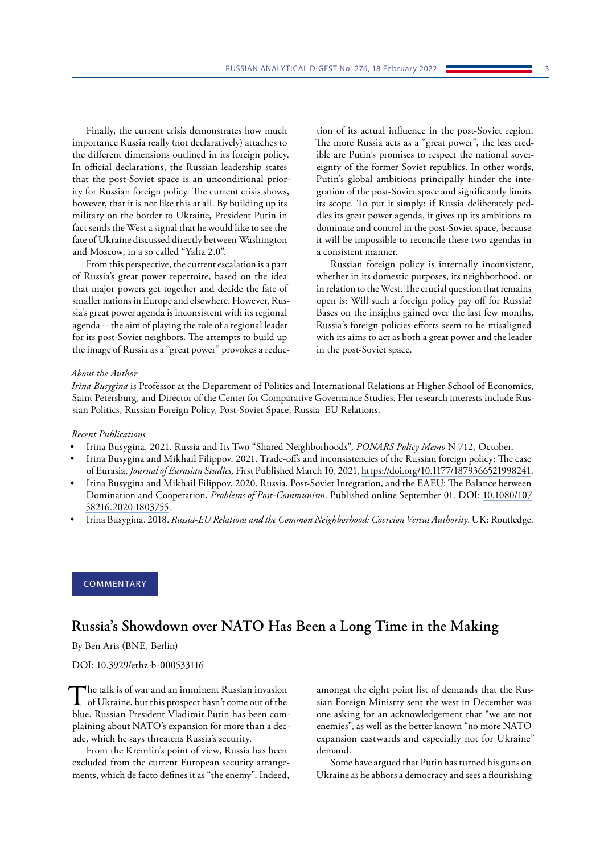<span id="page-2-0"></span>Finally, the current crisis demonstrates how much importance Russia really (not declaratively) attaches to the different dimensions outlined in its foreign policy. In official declarations, the Russian leadership states that the post-Soviet space is an unconditional priority for Russian foreign policy. The current crisis shows, however, that it is not like this at all. By building up its military on the border to Ukraine, President Putin in fact sends the West a signal that he would like to see the fate of Ukraine discussed directly between Washington and Moscow, in a so called "Yalta 2.0".

From this perspective, the current escalation is a part of Russia's great power repertoire, based on the idea that major powers get together and decide the fate of smaller nations in Europe and elsewhere. However, Russia's great power agenda is inconsistent with its regional agenda—the aim of playing the role of a regional leader for its post-Soviet neighbors. The attempts to build up the image of Russia as a "great power" provokes a reduction of its actual influence in the post-Soviet region. The more Russia acts as a "great power", the less credible are Putin's promises to respect the national sovereignty of the former Soviet republics. In other words, Putin's global ambitions principally hinder the integration of the post-Soviet space and significantly limits its scope. To put it simply: if Russia deliberately peddles its great power agenda, it gives up its ambitions to dominate and control in the post-Soviet space, because it will be impossible to reconcile these two agendas in a consistent manner.

Russian foreign policy is internally inconsistent, whether in its domestic purposes, its neighborhood, or in relation to the West. The crucial question that remains open is: Will such a foreign policy pay off for Russia? Bases on the insights gained over the last few months, Russia´s foreign policies efforts seem to be misaligned with its aims to act as both a great power and the leader in the post-Soviet space.

#### *About the Author*

*Irina Busygina* is Professor at the Department of Politics and International Relations at Higher School of Economics, Saint Petersburg, and Director of the Center for Comparative Governance Studies. Her research interests include Russian Politics, Russian Foreign Policy, Post-Soviet Space, Russia–EU Relations.

#### *Recent Publications*

- Irina Busygina. 2021. Russia and Its Two "Shared Neighborhoods", *PONARS Policy Memo* N 712, October.
- Irina Busygina and Mikhail Filippov. 2021. Trade-offs and inconsistencies of the Russian foreign policy: The case of Eurasia, *Journal of Eurasian Studies,* First Published March 10, 2021, [https://doi.org/10.1177/1879366521998241](https://doi.org/10.1177%2F1879366521998241).
- Irina Busygina and Mikhail Filippov. 2020. Russia, Post-Soviet Integration, and the EAEU: The Balance between Domination and Cooperation, *Problems of Post-Communism*. Published online September 01. DOI: [10.1080/107](https://doi.org/10.1080/10758216.2020.1803755) [58216.2020.1803755](https://doi.org/10.1080/10758216.2020.1803755).
- Irina Busygina. 2018. *Russia-EU Relations and the Common Neighborhood: Coercion Versus Authority*. UK: Routledge.

# **COMMENTARY**

# **Russia's Showdown over NATO Has Been a Long Time in the Making**

By Ben Aris (BNE, Berlin)

DOI: 10.3929/ethz-b-000533116

The talk is of war and an imminent Russian invasion<br>of Ukraine, but this prospect hasn't come out of the blue. Russian President Vladimir Putin has been complaining about NATO's expansion for more than a decade, which he says threatens Russia's security.

From the Kremlin's point of view, Russia has been excluded from the current European security arrangements, which de facto defines it as "the enemy". Indeed, amongst the [eight point list](https://www.intellinews.com/russia-issues-a-eight-point-list-of-demands-229829) of demands that the Russian Foreign Ministry sent the west in December was one asking for an acknowledgement that "we are not enemies", as well as the better known "no more NATO expansion eastwards and especially not for Ukraine" demand.

Some have argued that Putin has turned his guns on Ukraine as he abhors a democracy and sees a flourishing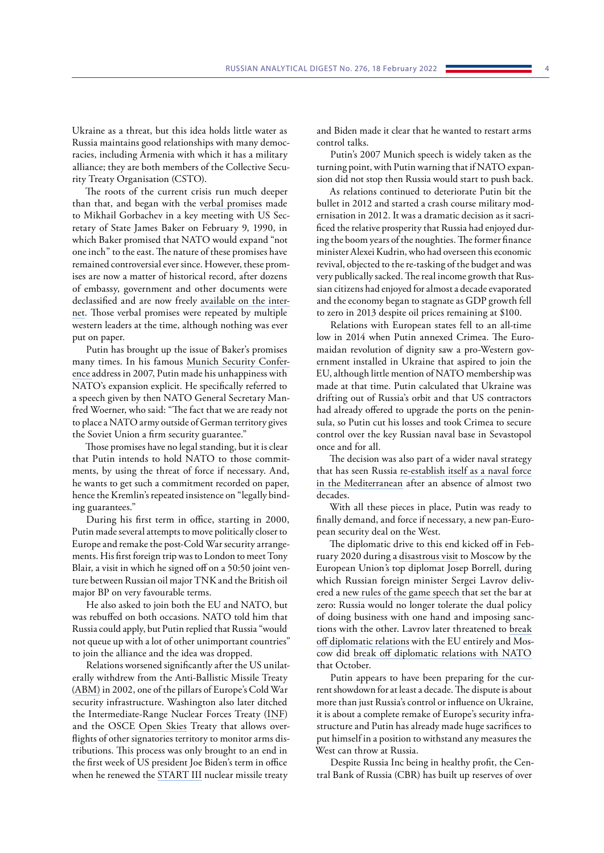Ukraine as a threat, but this idea holds little water as Russia maintains good relationships with many democracies, including Armenia with which it has a military alliance; they are both members of the Collective Security Treaty Organisation (CSTO).

The roots of the current crisis run much deeper than that, and began with the [verbal promises](https://nsarchive.gwu.edu/briefing-book/russia-programs/2017-12-12/nato-expansion-what-gorbachev-heard-western-leaders-early) made to Mikhail Gorbachev in a key meeting with US Secretary of State James Baker on February 9, 1990, in which Baker promised that NATO would expand "not one inch" to the east. The nature of these promises have remained controversial ever since. However, these promises are now a matter of historical record, after dozens of embassy, government and other documents were declassified and are now freely [available on the inter](https://nsarchive.gwu.edu/briefing-book/russia-programs/2017-12-12/nato-expansion-what-gorbachev-heard-western-leaders-early)[net.](https://nsarchive.gwu.edu/briefing-book/russia-programs/2017-12-12/nato-expansion-what-gorbachev-heard-western-leaders-early) Those verbal promises were repeated by multiple western leaders at the time, although nothing was ever put on paper.

Putin has brought up the issue of Baker's promises many times. In his famous [Munich Security Confer](https://www.youtube.com/watch?v=U4MAsIh3zMA&t=891s)[ence](https://www.youtube.com/watch?v=U4MAsIh3zMA&t=891s) address in 2007, Putin made his unhappiness with NATO's expansion explicit. He specifically referred to a speech given by then NATO General Secretary Manfred Woerner, who said: "The fact that we are ready not to place a NATO army outside of German territory gives the Soviet Union a firm security guarantee."

Those promises have no legal standing, but it is clear that Putin intends to hold NATO to those commitments, by using the threat of force if necessary. And, he wants to get such a commitment recorded on paper, hence the Kremlin's repeated insistence on "legally binding guarantees."

During his first term in office, starting in 2000, Putin made several attempts to move politically closer to Europe and remake the post-Cold War security arrangements. His first foreign trip was to London to meet Tony Blair, a visit in which he signed off on a 50:50 joint venture between Russian oil major TNK and the British oil major BP on very favourable terms.

He also asked to join both the EU and NATO, but was rebuffed on both occasions. NATO told him that Russia could apply, but Putin replied that Russia "would not queue up with a lot of other unimportant countries" to join the alliance and the idea was dropped.

Relations worsened significantly after the US unilaterally withdrew from the Anti-Ballistic Missile Treaty ([ABM\)](https://en.wikipedia.org/wiki/Anti-Ballistic_Missile_Treaty) in 2002, one of the pillars of Europe's Cold War security infrastructure. Washington also later ditched the Intermediate-Range Nuclear Forces Treaty [\(INF\)](https://en.wikipedia.org/wiki/INF) and the OSCE [Open Skies](https://en.wikipedia.org/wiki/Treaty_on_Open_Skies) Treaty that allows overflights of other signatories territory to monitor arms distributions. This process was only brought to an end in the first week of US president Joe Biden's term in office when he renewed the [START](https://en.wikipedia.org/wiki/START_III) III nuclear missile treaty

and Biden made it clear that he wanted to restart arms control talks.

Putin's 2007 Munich speech is widely taken as the turning point, with Putin warning that if NATO expansion did not stop then Russia would start to push back.

As relations continued to deteriorate Putin bit the bullet in 2012 and started a crash course military modernisation in 2012. It was a dramatic decision as it sacrificed the relative prosperity that Russia had enjoyed during the boom years of the noughties. The former finance minister Alexei Kudrin, who had overseen this economic revival, objected to the re-tasking of the budget and was very publically sacked. The real income growth that Russian citizens had enjoyed for almost a decade evaporated and the economy began to stagnate as GDP growth fell to zero in 2013 despite oil prices remaining at \$100.

Relations with European states fell to an all-time low in 2014 when Putin annexed Crimea. The Euromaidan revolution of dignity saw a pro-Western government installed in Ukraine that aspired to join the EU, although little mention of NATO membership was made at that time. Putin calculated that Ukraine was drifting out of Russia's orbit and that US contractors had already offered to upgrade the ports on the peninsula, so Putin cut his losses and took Crimea to secure control over the key Russian naval base in Sevastopol once and for all.

The decision was also part of a wider naval strategy that has seen Russia [re-establish itself as a](https://www.intellinews.com/russia-is-back-in-the-mediterranean-and-it-is-there-to-stay-211997/?source=russia) naval force [in the Mediterranean](https://www.intellinews.com/russia-is-back-in-the-mediterranean-and-it-is-there-to-stay-211997/?source=russia) after an absence of almost two decades.

With all these pieces in place, Putin was ready to finally demand, and force if necessary, a new pan-European security deal on the West.

The diplomatic drive to this end kicked off in February 2020 during a [disastrous visit](https://www.intellinews.com/the-eu-s-foreign-policy-chief-josep-borrell-slated-by-critics-for-not-holding-russia-to-account-over-navalny-s-jailing-202215/?source=russia) to Moscow by the European Union*'*s top diplomat Josep Borrell, during which Russian foreign minister Sergei Lavrov delivered a new rules of the [game](https://intellinews.com/moscow-blog-kremlin-lays-out-new-rules-of-the-game-for-post-trump-relations-202242/) speech that set the bar at zero: Russia would no longer tolerate the dual policy of doing business with one hand and imposing sanctions with the other. Lavrov later threatened to [break](https://www.intellinews.com/russia-s-lavrov-threatens-to-break-off-diplomatic-relations-with-eu-if-sanctioned-202809/?source=russia) [off diplomatic relations](https://www.intellinews.com/russia-s-lavrov-threatens-to-break-off-diplomatic-relations-with-eu-if-sanctioned-202809/?source=russia) with the EU entirely and Moscow did [break off diplomatic relations with NATO](https://www.intellinews.com/russia-breaks-off-diplomatic-ties-with-nato-224095/) that October.

Putin appears to have been preparing for the current showdown for at least a decade. The dispute is about more than just Russia's control or influence on Ukraine, it is about a complete remake of Europe's security infrastructure and Putin has already made huge sacrifices to put himself in a position to withstand any measures the West can throw at Russia.

Despite Russia Inc being in healthy profit, the Central Bank of Russia (CBR) has built up reserves of over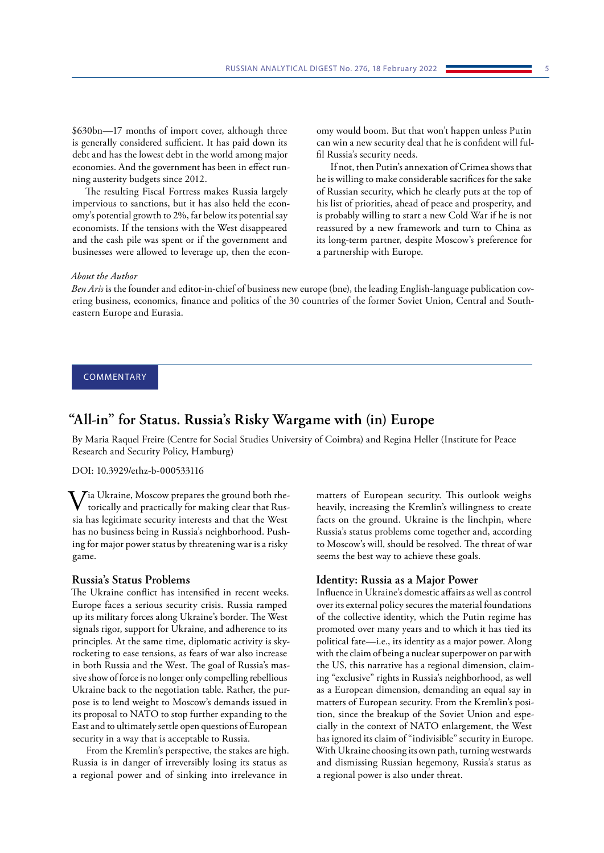<span id="page-4-0"></span>\$630bn—17 months of import cover, although three is generally considered sufficient. It has paid down its debt and has the lowest debt in the world among major economies. And the government has been in effect running austerity budgets since 2012.

The resulting Fiscal Fortress makes Russia largely impervious to sanctions, but it has also held the economy's potential growth to 2%, far below its potential say economists. If the tensions with the West disappeared and the cash pile was spent or if the government and businesses were allowed to leverage up, then the economy would boom. But that won't happen unless Putin can win a new security deal that he is confident will fulfil Russia's security needs.

If not, then Putin's annexation of Crimea shows that he is willing to make considerable sacrifices for the sake of Russian security, which he clearly puts at the top of his list of priorities, ahead of peace and prosperity, and is probably willing to start a new Cold War if he is not reassured by a new framework and turn to China as its long-term partner, despite Moscow's preference for a partnership with Europe.

#### *About the Author*

*Ben Aris* is the founder and editor-in-chief of business new europe (bne), the leading English-language publication covering business, economics, finance and politics of the 30 countries of the former Soviet Union, Central and Southeastern Europe and Eurasia.

## COMMENTARY

# **"All-in" for Status. Russia's Risky Wargame with (in) Europe**

By Maria Raquel Freire (Centre for Social Studies University of Coimbra) and Regina Heller (Institute for Peace Research and Security Policy, Hamburg)

### DOI: 10.3929/ethz-b-000533116

 $V$ ia Ukraine, Moscow prepares the ground both rhe-<br>torically and practically for making clear that Russia has legitimate security interests and that the West has no business being in Russia's neighborhood. Pushing for major power status by threatening war is a risky game.

### **Russia's Status Problems**

The Ukraine conflict has intensified in recent weeks. Europe faces a serious security crisis. Russia ramped up its military forces along Ukraine's border. The West signals rigor, support for Ukraine, and adherence to its principles. At the same time, diplomatic activity is skyrocketing to ease tensions, as fears of war also increase in both Russia and the West. The goal of Russia's massive show of force is no longer only compelling rebellious Ukraine back to the negotiation table. Rather, the purpose is to lend weight to Moscow's demands issued in its proposal to NATO to stop further expanding to the East and to ultimately settle open questions of European security in a way that is acceptable to Russia.

From the Kremlin's perspective, the stakes are high. Russia is in danger of irreversibly losing its status as a regional power and of sinking into irrelevance in

matters of European security. This outlook weighs heavily, increasing the Kremlin's willingness to create facts on the ground. Ukraine is the linchpin, where Russia's status problems come together and, according to Moscow's will, should be resolved. The threat of war seems the best way to achieve these goals.

#### **Identity: Russia as a Major Power**

Influence in Ukraine's domestic affairs as well as control over its external policy secures the material foundations of the collective identity, which the Putin regime has promoted over many years and to which it has tied its political fate—i.e., its identity as a major power. Along with the claim of being a nuclear superpower on par with the US, this narrative has a regional dimension, claiming "exclusive" rights in Russia's neighborhood, as well as a European dimension, demanding an equal say in matters of European security. From the Kremlin's position, since the breakup of the Soviet Union and especially in the context of NATO enlargement, the West has ignored its claim of "indivisible" security in Europe. With Ukraine choosing its own path, turning westwards and dismissing Russian hegemony, Russia's status as a regional power is also under threat.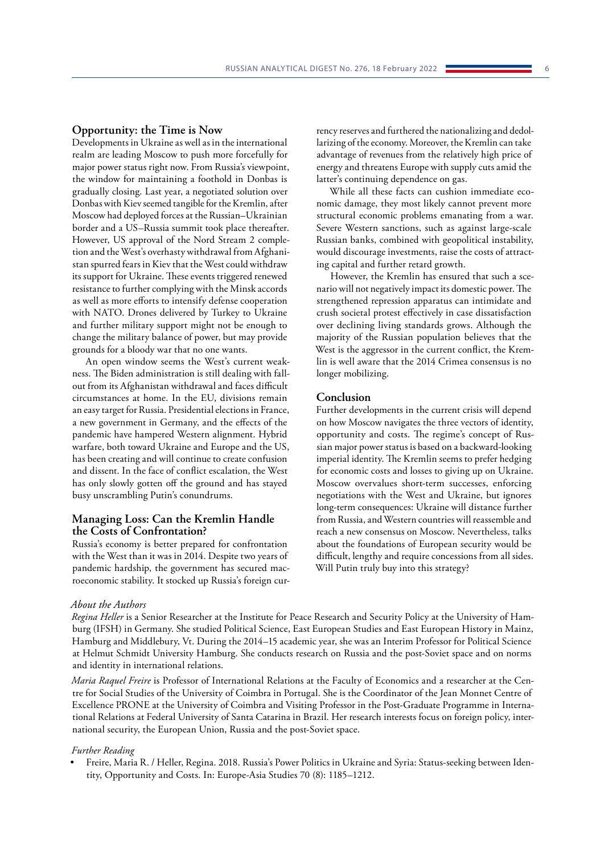#### **Opportunity: the Time is Now**

Developments in Ukraine as well as in the international realm are leading Moscow to push more forcefully for major power status right now. From Russia's viewpoint, the window for maintaining a foothold in Donbas is gradually closing. Last year, a negotiated solution over Donbas with Kiev seemed tangible for the Kremlin, after Moscow had deployed forces at the Russian–Ukrainian border and a US–Russia summit took place thereafter. However, US approval of the Nord Stream 2 completion and the West's overhasty withdrawal from Afghanistan spurred fears in Kiev that the West could withdraw its support for Ukraine. These events triggered renewed resistance to further complying with the Minsk accords as well as more efforts to intensify defense cooperation with NATO. Drones delivered by Turkey to Ukraine and further military support might not be enough to change the military balance of power, but may provide grounds for a bloody war that no one wants.

An open window seems the West's current weakness. The Biden administration is still dealing with fallout from its Afghanistan withdrawal and faces difficult circumstances at home. In the EU, divisions remain an easy target for Russia. Presidential elections in France, a new government in Germany, and the effects of the pandemic have hampered Western alignment. Hybrid warfare, both toward Ukraine and Europe and the US, has been creating and will continue to create confusion and dissent. In the face of conflict escalation, the West has only slowly gotten off the ground and has stayed busy unscrambling Putin's conundrums.

### **Managing Loss: Can the Kremlin Handle the Costs of Confrontation?**

Russia's economy is better prepared for confrontation with the West than it was in 2014. Despite two years of pandemic hardship, the government has secured macroeconomic stability. It stocked up Russia's foreign currency reserves and furthered the nationalizing and dedollarizing of the economy. Moreover, the Kremlin can take advantage of revenues from the relatively high price of energy and threatens Europe with supply cuts amid the latter's continuing dependence on gas.

While all these facts can cushion immediate economic damage, they most likely cannot prevent more structural economic problems emanating from a war. Severe Western sanctions, such as against large-scale Russian banks, combined with geopolitical instability, would discourage investments, raise the costs of attracting capital and further retard growth.

However, the Kremlin has ensured that such a scenario will not negatively impact its domestic power. The strengthened repression apparatus can intimidate and crush societal protest effectively in case dissatisfaction over declining living standards grows. Although the majority of the Russian population believes that the West is the aggressor in the current conflict, the Kremlin is well aware that the 2014 Crimea consensus is no longer mobilizing.

#### **Conclusion**

Further developments in the current crisis will depend on how Moscow navigates the three vectors of identity, opportunity and costs. The regime's concept of Russian major power status is based on a backward-looking imperial identity. The Kremlin seems to prefer hedging for economic costs and losses to giving up on Ukraine. Moscow overvalues short-term successes, enforcing negotiations with the West and Ukraine, but ignores long-term consequences: Ukraine will distance further from Russia, and Western countries will reassemble and reach a new consensus on Moscow. Nevertheless, talks about the foundations of European security would be difficult, lengthy and require concessions from all sides. Will Putin truly buy into this strategy?

### *About the Authors*

*Regina Heller* is a Senior Researcher at the Institute for Peace Research and Security Policy at the University of Hamburg (IFSH) in Germany. She studied Political Science, East European Studies and East European History in Mainz, Hamburg and Middlebury, Vt. During the 2014–15 academic year, she was an Interim Professor for Political Science at Helmut Schmidt University Hamburg. She conducts research on Russia and the post-Soviet space and on norms and identity in international relations.

*Maria Raquel Freire* is Professor of International Relations at the Faculty of Economics and a researcher at the Centre for Social Studies of the University of Coimbra in Portugal. She is the Coordinator of the Jean Monnet Centre of Excellence PRONE at the University of Coimbra and Visiting Professor in the Post-Graduate Programme in International Relations at Federal University of Santa Catarina in Brazil. Her research interests focus on foreign policy, international security, the European Union, Russia and the post-Soviet space.

#### *Further Reading*

• Freire, Maria R. / Heller, Regina. 2018. Russia's Power Politics in Ukraine and Syria: Status-seeking between Identity, Opportunity and Costs. In: Europe-Asia Studies 70 (8): 1185–1212.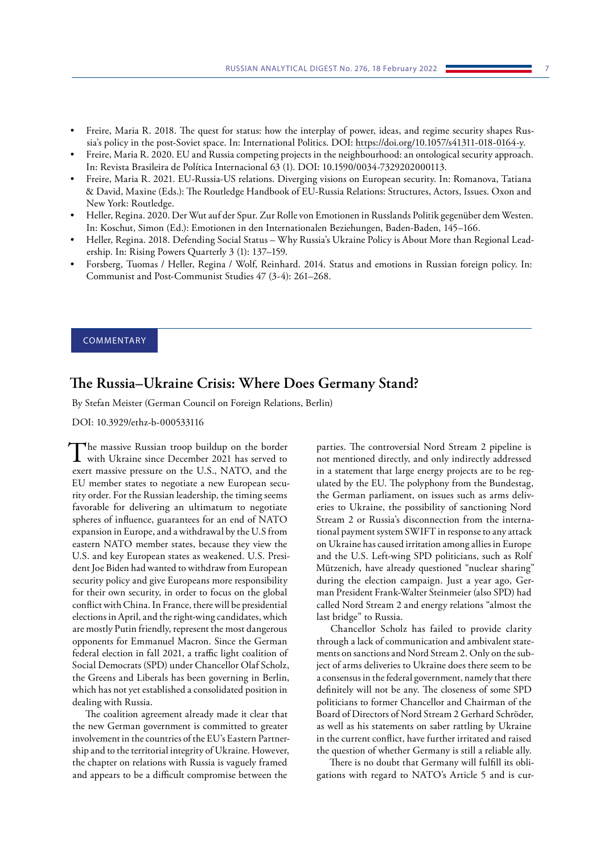- <span id="page-6-0"></span>• Freire, Maria R. 2018. The quest for status: how the interplay of power, ideas, and regime security shapes Russia's policy in the post-Soviet space. In: International Politics. DOI: [https://doi.org/10.1057/s41311-018-0164-y.](https://doi.org/10.1057/s41311-018-0164-y)
- Freire, Maria R. 2020. EU and Russia competing projects in the neighbourhood: an ontological security approach. In: Revista Brasileira de Política Internacional 63 (1). DOI: 10.1590/0034-7329202000113.
- Freire, Maria R. 2021. EU-Russia-US relations. Diverging visions on European security. In: Romanova, Tatiana & David, Maxine (Eds.): The Routledge Handbook of EU-Russia Relations: Structures, Actors, Issues. Oxon and New York: Routledge.
- Heller, Regina. 2020. Der Wut auf der Spur. Zur Rolle von Emotionen in Russlands Politik gegenüber dem Westen. In: Koschut, Simon (Ed.): Emotionen in den Internationalen Beziehungen, Baden-Baden, 145–166.
- Heller, Regina. 2018. [Defending Social Status Why Russia's Ukraine Policy is About More than Regional Lead](http://risingpowersproject.com/wp-content/uploads/2018/04/vol3.1-heller.pdf)[ership.](http://risingpowersproject.com/wp-content/uploads/2018/04/vol3.1-heller.pdf) In: Rising Powers Quarterly 3 (1): 137–159.
- Forsberg, Tuomas / Heller, Regina / Wolf, Reinhard. 2014. Status and emotions in Russian foreign policy. In: Communist and Post-Communist Studies 47 (3-4): 261–268.

# COMMENTARY

# **The Russia–Ukraine Crisis: Where Does Germany Stand?**

By Stefan Meister (German Council on Foreign Relations, Berlin)

DOI: 10.3929/ethz-b-000533116

The massive Russian troop buildup on the border<br>with Ukraine since December 2021 has served to exert massive pressure on the U.S., NATO, and the EU member states to negotiate a new European security order. For the Russian leadership, the timing seems favorable for delivering an ultimatum to negotiate spheres of influence, guarantees for an end of NATO expansion in Europe, and a withdrawal by the U.S from eastern NATO member states, because they view the U.S. and key European states as weakened. U.S. President Joe Biden had wanted to withdraw from European security policy and give Europeans more responsibility for their own security, in order to focus on the global conflict with China. In France, there will be presidential elections in April, and the right-wing candidates, which are mostly Putin friendly, represent the most dangerous opponents for Emmanuel Macron. Since the German federal election in fall 2021, a traffic light coalition of Social Democrats (SPD) under Chancellor Olaf Scholz, the Greens and Liberals has been governing in Berlin, which has not yet established a consolidated position in dealing with Russia.

The coalition agreement already made it clear that the new German government is committed to greater involvement in the countries of the EU's Eastern Partnership and to the territorial integrity of Ukraine. However, the chapter on relations with Russia is vaguely framed and appears to be a difficult compromise between the

parties. The controversial Nord Stream 2 pipeline is not mentioned directly, and only indirectly addressed in a statement that large energy projects are to be regulated by the EU. The polyphony from the Bundestag, the German parliament, on issues such as arms deliveries to Ukraine, the possibility of sanctioning Nord Stream 2 or Russia's disconnection from the international payment system SWIFT in response to any attack on Ukraine has caused irritation among allies in Europe and the U.S. Left-wing SPD politicians, such as Rolf Mützenich, have already questioned "nuclear sharing" during the election campaign. Just a year ago, German President Frank-Walter Steinmeier (also SPD) had called Nord Stream 2 and energy relations "almost the last bridge" to Russia.

Chancellor Scholz has failed to provide clarity through a lack of communication and ambivalent statements on sanctions and Nord Stream 2. Only on the subject of arms deliveries to Ukraine does there seem to be a consensus in the federal government, namely that there definitely will not be any. The closeness of some SPD politicians to former Chancellor and Chairman of the Board of Directors of Nord Stream 2 Gerhard Schröder, as well as his statements on saber rattling by Ukraine in the current conflict, have further irritated and raised the question of whether Germany is still a reliable ally.

There is no doubt that Germany will fulfill its obligations with regard to NATO's Article 5 and is cur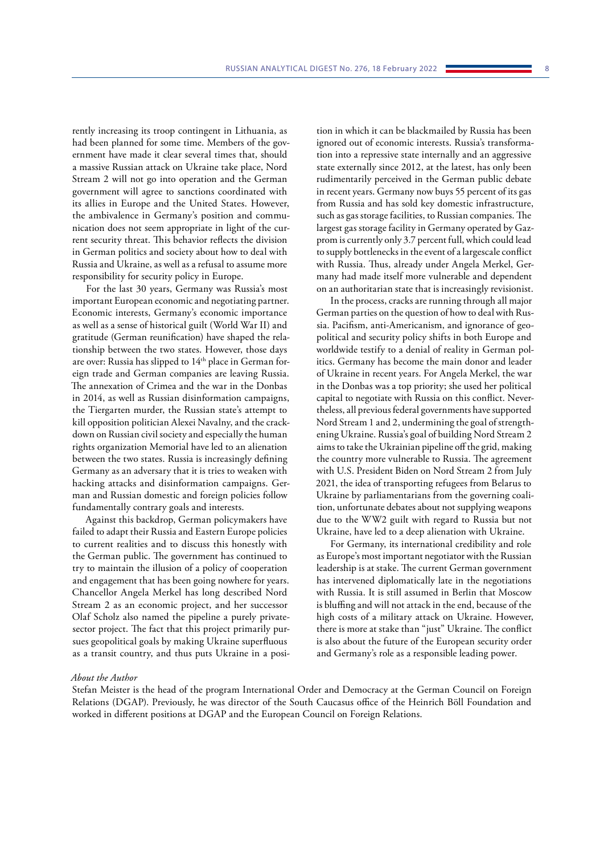rently increasing its troop contingent in Lithuania, as had been planned for some time. Members of the government have made it clear several times that, should a massive Russian attack on Ukraine take place, Nord Stream 2 will not go into operation and the German government will agree to sanctions coordinated with its allies in Europe and the United States. However, the ambivalence in Germany's position and communication does not seem appropriate in light of the current security threat. This behavior reflects the division in German politics and society about how to deal with Russia and Ukraine, as well as a refusal to assume more responsibility for security policy in Europe.

For the last 30 years, Germany was Russia's most important European economic and negotiating partner. Economic interests, Germany's economic importance as well as a sense of historical guilt (World War II) and gratitude (German reunification) have shaped the relationship between the two states. However, those days are over: Russia has slipped to 14<sup>th</sup> place in German foreign trade and German companies are leaving Russia. The annexation of Crimea and the war in the Donbas in 2014, as well as Russian disinformation campaigns, the Tiergarten murder, the Russian state's attempt to kill opposition politician Alexei Navalny, and the crackdown on Russian civil society and especially the human rights organization Memorial have led to an alienation between the two states. Russia is increasingly defining Germany as an adversary that it is tries to weaken with hacking attacks and disinformation campaigns. German and Russian domestic and foreign policies follow fundamentally contrary goals and interests.

Against this backdrop, German policymakers have failed to adapt their Russia and Eastern Europe policies to current realities and to discuss this honestly with the German public. The government has continued to try to maintain the illusion of a policy of cooperation and engagement that has been going nowhere for years. Chancellor Angela Merkel has long described Nord Stream 2 as an economic project, and her successor Olaf Scholz also named the pipeline a purely privatesector project. The fact that this project primarily pursues geopolitical goals by making Ukraine superfluous as a transit country, and thus puts Ukraine in a posi-

tion in which it can be blackmailed by Russia has been ignored out of economic interests. Russia's transformation into a repressive state internally and an aggressive state externally since 2012, at the latest, has only been rudimentarily perceived in the German public debate in recent years. Germany now buys 55 percent of its gas from Russia and has sold key domestic infrastructure, such as gas storage facilities, to Russian companies. The largest gas storage facility in Germany operated by Gazprom is currently only 3.7 percent full, which could lead to supply bottlenecks in the event of a largescale conflict with Russia. Thus, already under Angela Merkel, Germany had made itself more vulnerable and dependent on an authoritarian state that is increasingly revisionist.

In the process, cracks are running through all major German parties on the question of how to deal with Russia. Pacifism, anti-Americanism, and ignorance of geopolitical and security policy shifts in both Europe and worldwide testify to a denial of reality in German politics. Germany has become the main donor and leader of Ukraine in recent years. For Angela Merkel, the war in the Donbas was a top priority; she used her political capital to negotiate with Russia on this conflict. Nevertheless, all previous federal governments have supported Nord Stream 1 and 2, undermining the goal of strengthening Ukraine. Russia's goal of building Nord Stream 2 aims to take the Ukrainian pipeline off the grid, making the country more vulnerable to Russia. The agreement with U.S. President Biden on Nord Stream 2 from July 2021, the idea of transporting refugees from Belarus to Ukraine by parliamentarians from the governing coalition, unfortunate debates about not supplying weapons due to the WW2 guilt with regard to Russia but not Ukraine, have led to a deep alienation with Ukraine.

For Germany, its international credibility and role as Europe's most important negotiator with the Russian leadership is at stake. The current German government has intervened diplomatically late in the negotiations with Russia. It is still assumed in Berlin that Moscow is bluffing and will not attack in the end, because of the high costs of a military attack on Ukraine. However, there is more at stake than "just" Ukraine. The conflict is also about the future of the European security order and Germany's role as a responsible leading power.

#### *About the Author*

Stefan Meister is the head of the program International Order and Democracy at the German Council on Foreign Relations (DGAP). Previously, he was director of the South Caucasus office of the Heinrich Böll Foundation and worked in different positions at DGAP and the European Council on Foreign Relations.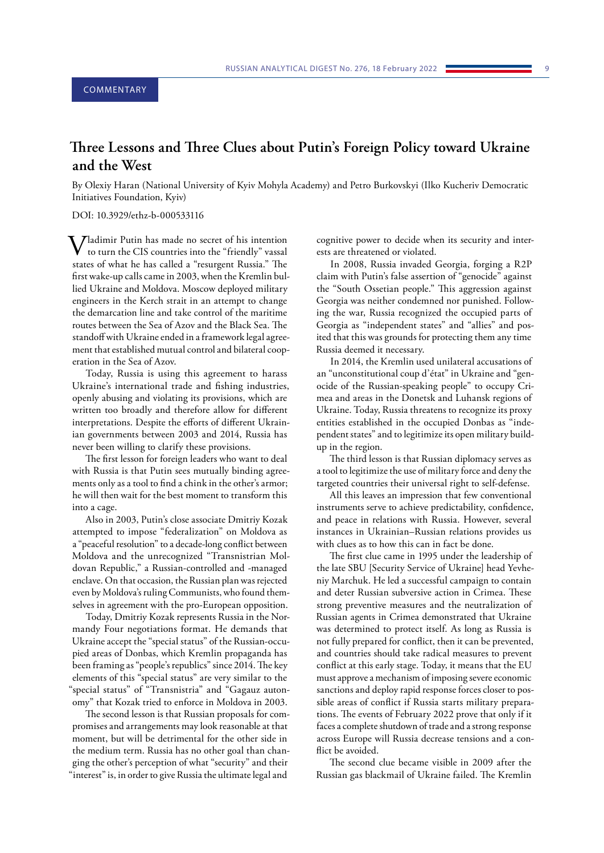# <span id="page-8-0"></span>**Three Lessons and Three Clues about Putin's Foreign Policy toward Ukraine and the West**

By Olexiy Haran (National University of Kyiv Mohyla Academy) and Petro Burkovskyi (Ilko Kucheriv Democratic Initiatives Foundation, Kyiv)

#### DOI: 10.3929/ethz-b-000533116

**7** *Z*ladimir Putin has made no secret of his intention to turn the CIS countries into the "friendly" vassal states of what he has called a "resurgent Russia." The first wake-up calls came in 2003, when the Kremlin bullied Ukraine and Moldova. Moscow deployed military engineers in the Kerch strait in an attempt to change the demarcation line and take control of the maritime routes between the Sea of Azov and the Black Sea. The standoff with Ukraine ended in a framework legal agreement that established mutual control and bilateral cooperation in the Sea of Azov.

Today, Russia is using this agreement to harass Ukraine's international trade and fishing industries, openly abusing and violating its provisions, which are written too broadly and therefore allow for different interpretations. Despite the efforts of different Ukrainian governments between 2003 and 2014, Russia has never been willing to clarify these provisions.

The first lesson for foreign leaders who want to deal with Russia is that Putin sees mutually binding agreements only as a tool to find a chink in the other's armor; he will then wait for the best moment to transform this into a cage.

Also in 2003, Putin's close associate Dmitriy Kozak attempted to impose "federalization" on Moldova as a "peaceful resolution" to a decade-long conflict between Moldova and the unrecognized "Transnistrian Moldovan Republic," a Russian-controlled and -managed enclave. On that occasion, the Russian plan was rejected even by Moldova's ruling Communists, who found themselves in agreement with the pro-European opposition.

Today, Dmitriy Kozak represents Russia in the Normandy Four negotiations format. He demands that Ukraine accept the "special status" of the Russian-occupied areas of Donbas, which Kremlin propaganda has been framing as "people's republics" since 2014. The key elements of this "special status" are very similar to the "special status" of "Transnistria" and "Gagauz autonomy" that Kozak tried to enforce in Moldova in 2003.

The second lesson is that Russian proposals for compromises and arrangements may look reasonable at that moment, but will be detrimental for the other side in the medium term. Russia has no other goal than changing the other's perception of what "security" and their "interest" is, in order to give Russia the ultimate legal and

cognitive power to decide when its security and interests are threatened or violated.

In 2008, Russia invaded Georgia, forging a R2P claim with Putin's false assertion of "genocide" against the "South Ossetian people." This aggression against Georgia was neither condemned nor punished. Following the war, Russia recognized the occupied parts of Georgia as "independent states" and "allies" and posited that this was grounds for protecting them any time Russia deemed it necessary.

In 2014, the Kremlin used unilateral accusations of an "unconstitutional coup d'état" in Ukraine and "genocide of the Russian-speaking people" to occupy Crimea and areas in the Donetsk and Luhansk regions of Ukraine. Today, Russia threatens to recognize its proxy entities established in the occupied Donbas as "independent states" and to legitimize its open military buildup in the region.

The third lesson is that Russian diplomacy serves as a tool to legitimize the use of military force and deny the targeted countries their universal right to self-defense.

All this leaves an impression that few conventional instruments serve to achieve predictability, confidence, and peace in relations with Russia. However, several instances in Ukrainian–Russian relations provides us with clues as to how this can in fact be done.

The first clue came in 1995 under the leadership of the late SBU [Security Service of Ukraine] head Yevheniy Marchuk. He led a successful campaign to contain and deter Russian subversive action in Crimea. These strong preventive measures and the neutralization of Russian agents in Crimea demonstrated that Ukraine was determined to protect itself. As long as Russia is not fully prepared for conflict, then it can be prevented, and countries should take radical measures to prevent conflict at this early stage. Today, it means that the EU must approve a mechanism of imposing severe economic sanctions and deploy rapid response forces closer to possible areas of conflict if Russia starts military preparations. The events of February 2022 prove that only if it faces a complete shutdown of trade and a strong response across Europe will Russia decrease tensions and a conflict be avoided.

The second clue became visible in 2009 after the Russian gas blackmail of Ukraine failed. The Kremlin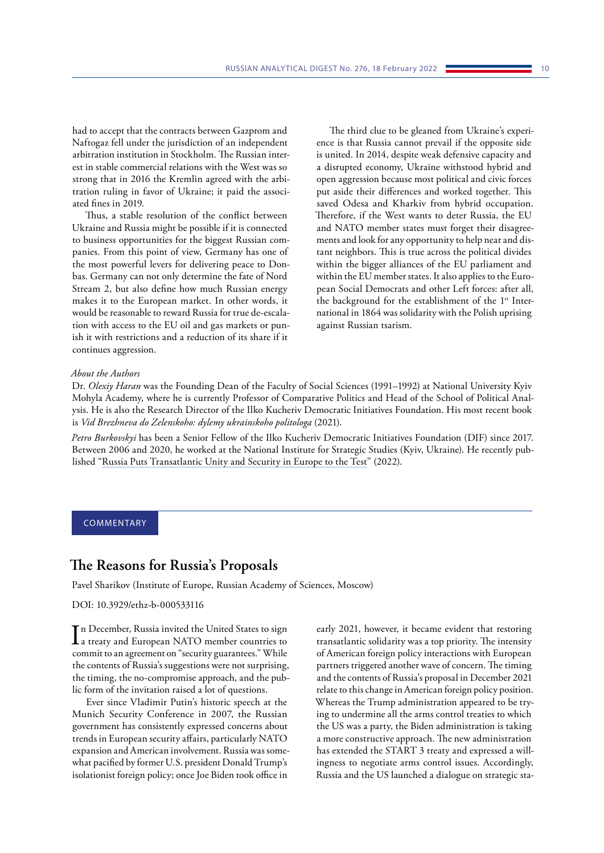<span id="page-9-0"></span>had to accept that the contracts between Gazprom and Naftogaz fell under the jurisdiction of an independent arbitration institution in Stockholm. The Russian interest in stable commercial relations with the West was so strong that in 2016 the Kremlin agreed with the arbitration ruling in favor of Ukraine; it paid the associated fines in 2019.

Thus, a stable resolution of the conflict between Ukraine and Russia might be possible if it is connected to business opportunities for the biggest Russian companies. From this point of view, Germany has one of the most powerful levers for delivering peace to Donbas. Germany can not only determine the fate of Nord Stream 2, but also define how much Russian energy makes it to the European market. In other words, it would be reasonable to reward Russia for true de-escalation with access to the EU oil and gas markets or punish it with restrictions and a reduction of its share if it continues aggression.

The third clue to be gleaned from Ukraine's experience is that Russia cannot prevail if the opposite side is united. In 2014, despite weak defensive capacity and a disrupted economy, Ukraine withstood hybrid and open aggression because most political and civic forces put aside their differences and worked together. This saved Odesa and Kharkiv from hybrid occupation. Therefore, if the West wants to deter Russia, the EU and NATO member states must forget their disagreements and look for any opportunity to help near and distant neighbors. This is true across the political divides within the bigger alliances of the EU parliament and within the EU member states. It also applies to the European Social Democrats and other Left forces: after all, the background for the establishment of the 1<sup>st</sup> International in 1864 was solidarity with the Polish uprising against Russian tsarism.

### *About the Authors*

Dr. *Olexiy Haran* was the Founding Dean of the Faculty of Social Sciences (1991–1992) at National University Kyiv Mohyla Academy, where he is currently Professor of Comparative Politics and Head of the School of Political Analysis. He is also the Research Director of the Ilko Kucheriv Democratic Initiatives Foundation. His most recent book is *[Vid Brezhneva do Zelenskoho: dylemy ukrainskoho politologa](https://dif.org.ua/article/oleksiy-garan-vid-brezhneva-do-zelenskogo-dilemi-ukrainskogo-politologa.)* (2021).

*Petro Burkovskyi* has been a Senior Fellow of the Ilko Kucheriv Democratic Initiatives Foundation (DIF) since 2017. Between 2006 and 2020, he worked at the National Institute for Strategic Studies (Kyiv, Ukraine). He recently published "Russia Puts Transatlantic Unity and Security in Europe to the Test" (2022).

#### COMMENTARY

# **The Reasons for Russia's Proposals**

Pavel Sharikov (Institute of Europe, Russian Academy of Sciences, Moscow)

### DOI: 10.3929/ethz-b-000533116

 $\prod$ n December, Russia invited the United States to sign<br>a treaty and European NATO member countries to a treaty and European NATO member countries to commit to an agreement on "security guarantees." While the contents of Russia's suggestions were not surprising, the timing, the no-compromise approach, and the public form of the invitation raised a lot of questions.

Ever since Vladimir Putin's historic speech at the Munich Security Conference in 2007, the Russian government has consistently expressed concerns about trends in European security affairs, particularly NATO expansion and American involvement. Russia was somewhat pacified by former U.S. president Donald Trump's isolationist foreign policy; once Joe Biden took office in

early 2021, however, it became evident that restoring transatlantic solidarity was a top priority. The intensity of American foreign policy interactions with European partners triggered another wave of concern. The timing and the contents of Russia's proposal in December 2021 relate to this change in American foreign policy position. Whereas the Trump administration appeared to be trying to undermine all the arms control treaties to which the US was a party, the Biden administration is taking a more constructive approach. The new administration has extended the START 3 treaty and expressed a willingness to negotiate arms control issues. Accordingly, Russia and the US launched a dialogue on strategic sta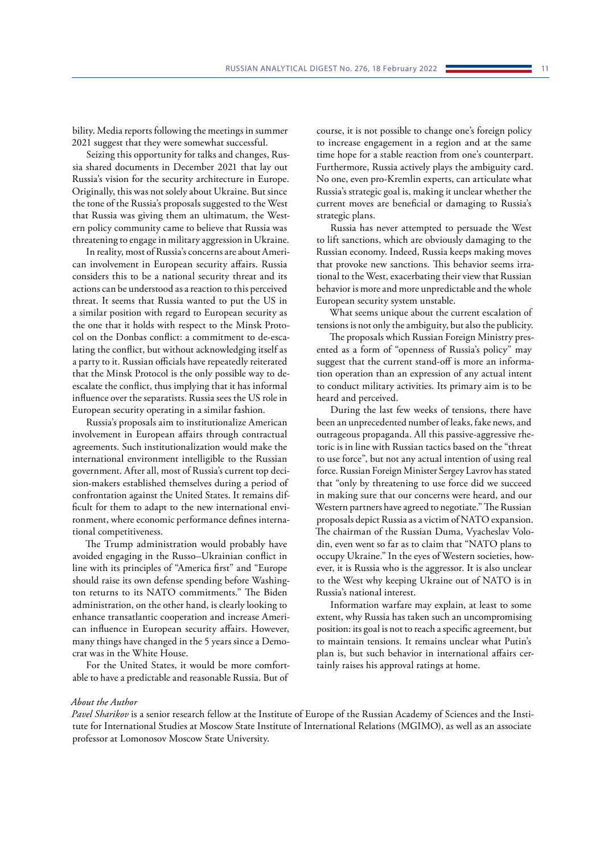bility. Media reports following the meetings in summer 2021 suggest that they were somewhat successful.

Seizing this opportunity for talks and changes, Russia shared documents in December 2021 that lay out Russia's vision for the security architecture in Europe. Originally, this was not solely about Ukraine. But since the tone of the Russia's proposals suggested to the West that Russia was giving them an ultimatum, the Western policy community came to believe that Russia was threatening to engage in military aggression in Ukraine.

In reality, most of Russia's concerns are about American involvement in European security affairs. Russia considers this to be a national security threat and its actions can be understood as a reaction to this perceived threat. It seems that Russia wanted to put the US in a similar position with regard to European security as the one that it holds with respect to the Minsk Protocol on the Donbas conflict: a commitment to de-escalating the conflict, but without acknowledging itself as a party to it. Russian officials have repeatedly reiterated that the Minsk Protocol is the only possible way to deescalate the conflict, thus implying that it has informal influence over the separatists. Russia sees the US role in European security operating in a similar fashion.

Russia's proposals aim to institutionalize American involvement in European affairs through contractual agreements. Such institutionalization would make the international environment intelligible to the Russian government. After all, most of Russia's current top decision-makers established themselves during a period of confrontation against the United States. It remains difficult for them to adapt to the new international environment, where economic performance defines international competitiveness.

The Trump administration would probably have avoided engaging in the Russo–Ukrainian conflict in line with its principles of "America first" and "Europe should raise its own defense spending before Washington returns to its NATO commitments." The Biden administration, on the other hand, is clearly looking to enhance transatlantic cooperation and increase American influence in European security affairs. However, many things have changed in the 5 years since a Democrat was in the White House.

For the United States, it would be more comfortable to have a predictable and reasonable Russia. But of

course, it is not possible to change one's foreign policy to increase engagement in a region and at the same time hope for a stable reaction from one's counterpart. Furthermore, Russia actively plays the ambiguity card. No one, even pro-Kremlin experts, can articulate what Russia's strategic goal is, making it unclear whether the current moves are beneficial or damaging to Russia's strategic plans.

Russia has never attempted to persuade the West to lift sanctions, which are obviously damaging to the Russian economy. Indeed, Russia keeps making moves that provoke new sanctions. This behavior seems irrational to the West, exacerbating their view that Russian behavior is more and more unpredictable and the whole European security system unstable.

What seems unique about the current escalation of tensions is not only the ambiguity, but also the publicity.

The proposals which Russian Foreign Ministry presented as a form of "openness of Russia's policy" may suggest that the current stand-off is more an information operation than an expression of any actual intent to conduct military activities. Its primary aim is to be heard and perceived.

During the last few weeks of tensions, there have been an unprecedented number of leaks, fake news, and outrageous propaganda. All this passive-aggressive rhetoric is in line with Russian tactics based on the "threat to use force", but not any actual intention of using real force. Russian Foreign Minister Sergey Lavrov has stated that "only by threatening to use force did we succeed in making sure that our concerns were heard, and our Western partners have agreed to negotiate." The Russian proposals depict Russia as a victim of NATO expansion. The chairman of the Russian Duma, Vyacheslav Volodin, even went so far as to claim that "NATO plans to occupy Ukraine." In the eyes of Western societies, however, it is Russia who is the aggressor. It is also unclear to the West why keeping Ukraine out of NATO is in Russia's national interest.

Information warfare may explain, at least to some extent, why Russia has taken such an uncompromising position: its goal is not to reach a specific agreement, but to maintain tensions. It remains unclear what Putin's plan is, but such behavior in international affairs certainly raises his approval ratings at home.

#### *About the Author*

*Pavel Sharikov* is a senior research fellow at the Institute of Europe of the Russian Academy of Sciences and the Institute for International Studies at Moscow State Institute of International Relations (MGIMO), as well as an associate professor at Lomonosov Moscow State University.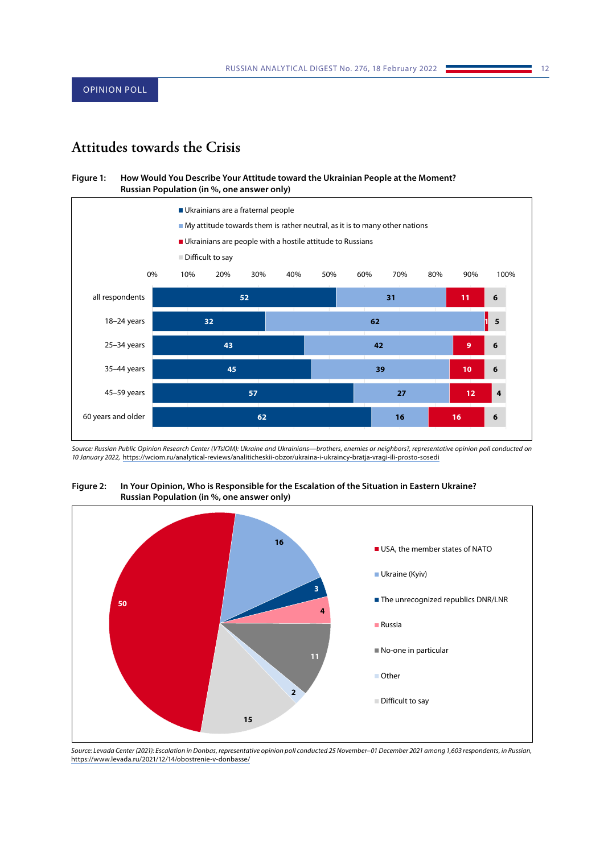# <span id="page-11-0"></span>**Attitudes towards the Crisis**

#### **Figure 1: How Would You Describe Your Attitude toward the Ukrainian People at the Moment? Russian Population (in %, one answer only)**



*Source: Russian Public Opinion Research Center (VTsIOM): Ukraine and Ukrainians—brothers, enemies or neighbors?, representative opinion poll conducted on 10 January 2022,* <https://wciom.ru/analytical-reviews/analiticheskii-obzor/ukraina-i-ukraincy-bratja-vragi-ili-prosto-sosedi>



**Figure 2: In Your Opinion, Who is Responsible for the Escalation of the Situation in Eastern Ukraine? Russian Population (in %, one answer only)**

*Source: Levada Center (2021): Escalation in Donbas, representative opinion poll conducted 25 November–01 December 2021 among 1,603 respondents, in Russian,*  <https://www.levada.ru/2021/12/14/obostrenie-v-donbasse/>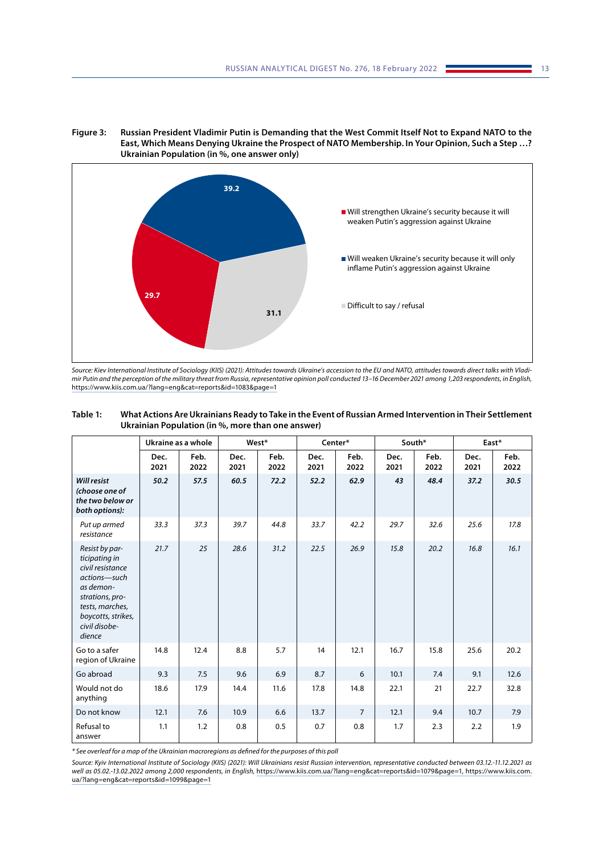



*Source: Kiev International Institute of Sociology (KIIS) (2021): Attitudes towards Ukraine's accession to the EU and NATO, attitudes towards direct talks with Vladimir Putin and the perception of the military threat from Russia, representative opinion poll conducted 13–16 December 2021 among 1,203 respondents, in English,*  <https://www.kiis.com.ua/?lang=eng&cat=reports&id=1083&page=1>

| Table 1: | What Actions Are Ukrainians Ready to Take in the Event of Russian Armed Intervention in Their Settlement |
|----------|----------------------------------------------------------------------------------------------------------|
|          | Ukrainian Population (in %, more than one answer)                                                        |
|          |                                                                                                          |

|                                                                                                                                                                         | Ukraine as a whole |              | West*        |              | Center*      |                | South*       |              | East*        |              |
|-------------------------------------------------------------------------------------------------------------------------------------------------------------------------|--------------------|--------------|--------------|--------------|--------------|----------------|--------------|--------------|--------------|--------------|
|                                                                                                                                                                         | Dec.<br>2021       | Feb.<br>2022 | Dec.<br>2021 | Feb.<br>2022 | Dec.<br>2021 | Feb.<br>2022   | Dec.<br>2021 | Feb.<br>2022 | Dec.<br>2021 | Feb.<br>2022 |
| <b>Will resist</b><br>(choose one of<br>the two below or<br>both options):                                                                                              | 50.2               | 57.5         | 60.5         | 72.2         | 52.2         | 62.9           | 43           | 48.4         | 37.2         | 30.5         |
| Put up armed<br>resistance                                                                                                                                              | 33.3               | 37.3         | 39.7         | 44.8         | 33.7         | 42.2           | 29.7         | 32.6         | 25.6         | 17.8         |
| Resist by par-<br>ticipating in<br>civil resistance<br>actions-such<br>as demon-<br>strations, pro-<br>tests, marches,<br>boycotts, strikes,<br>civil disobe-<br>dience | 21.7               | 25           | 28.6         | 31.2         | 22.5         | 26.9           | 15.8         | 20.2         | 16.8         | 16.1         |
| Go to a safer<br>region of Ukraine                                                                                                                                      | 14.8               | 12.4         | 8.8          | 5.7          | 14           | 12.1           | 16.7         | 15.8         | 25.6         | 20.2         |
| Go abroad                                                                                                                                                               | 9.3                | 7.5          | 9.6          | 6.9          | 8.7          | 6              | 10.1         | 7.4          | 9.1          | 12.6         |
| Would not do<br>anything                                                                                                                                                | 18.6               | 17.9         | 14.4         | 11.6         | 17.8         | 14.8           | 22.1         | 21           | 22.7         | 32.8         |
| Do not know                                                                                                                                                             | 12.1               | 7.6          | 10.9         | 6.6          | 13.7         | $\overline{7}$ | 12.1         | 9.4          | 10.7         | 7.9          |
| Refusal to<br>answer                                                                                                                                                    | 1.1                | 1.2          | 0.8          | 0.5          | 0.7          | 0.8            | 1.7          | 2.3          | 2.2          | 1.9          |

*\* See overleaf for a map of the Ukrainian macroregions as defined for the purposes of this poll*

*Source: Kyiv International Institute of Sociology (KIIS) (2021): Will Ukrainians resist Russian intervention, representative conducted between 03.12.-11.12.2021 as well as 05.02.-13.02.2022 among 2,000 respondents, in English,* [https://www.kiis.com.ua/?lang=eng&cat=reports&id=1079&page=1, https://www.kiis.com.](https://www.kiis.com.ua/?lang=eng&cat=reports&id=1079&page=1, https://www.kiis.com.ua/?lang=eng&cat=reports&id=1099&page=1) [ua/?lang=eng&cat=reports&id=1099&page=1](https://www.kiis.com.ua/?lang=eng&cat=reports&id=1079&page=1, https://www.kiis.com.ua/?lang=eng&cat=reports&id=1099&page=1)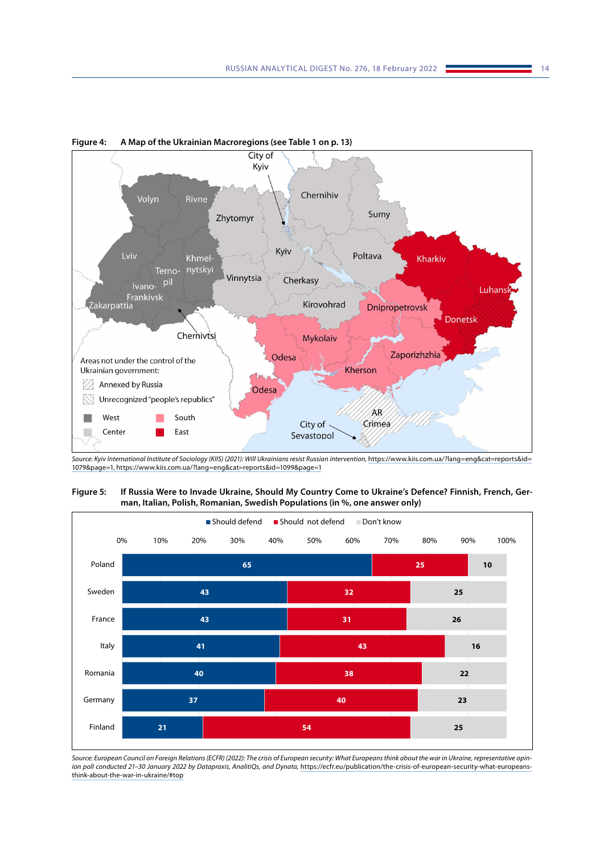

**Figure 4: A Map of the Ukrainian Macroregions (see Table 1 on p. 13)**

*Source: Kyiv International Institute of Sociology (KIIS) (2021): Will Ukrainians resist Russian intervention,* [https://www.kiis.com.ua/?lang=eng&cat=reports&id=](https://www.kiis.com.ua/?lang=eng&cat=reports&id=1079&page=1, https://www.kiis.com.ua/?lang=eng&cat=reports&id=1099&page=1) [1079&page=1, https://www.kiis.com.ua/?lang=eng&cat=reports&id=1099&page=1](https://www.kiis.com.ua/?lang=eng&cat=reports&id=1079&page=1, https://www.kiis.com.ua/?lang=eng&cat=reports&id=1099&page=1)





*Source: European Council on Foreign Relations (ECFR) (2022): The crisis of European security: What Europeans think about the war in Ukraine, representative opinion poll conducted 21–30 January 2022 by Datapraxis, AnalitiQs, and Dynata,* [https://ecfr.eu/publication/the-crisis-of-european-security-what-europeans](https://ecfr.eu/publication/the-crisis-of-european-security-what-europeans-think-about-the-war-in-ukraine/#top)[think-about-the-war-in-ukraine/#top](https://ecfr.eu/publication/the-crisis-of-european-security-what-europeans-think-about-the-war-in-ukraine/#top)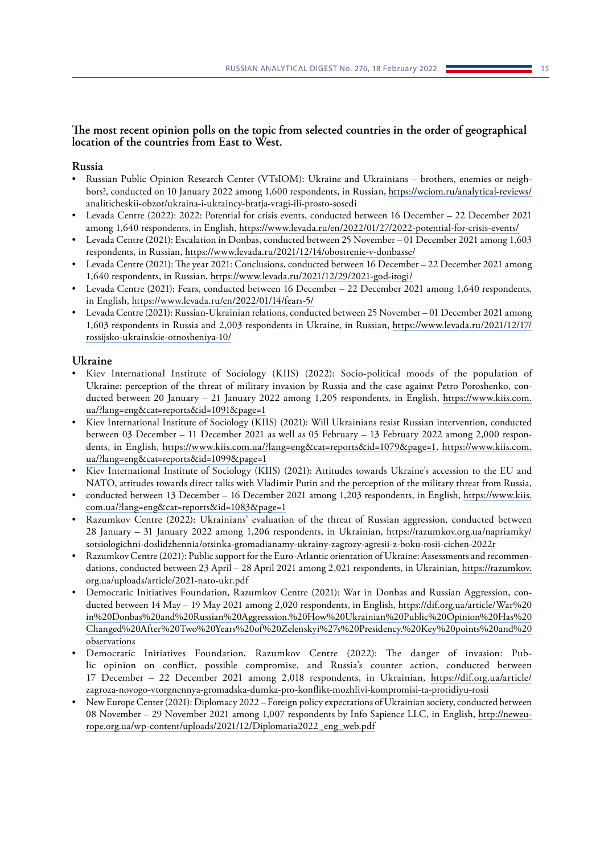# **The most recent opinion polls on the topic from selected countries in the order of geographical location of the countries from East to West.**

## **Russia**

- Russian Public Opinion Research Center (VTsIOM): Ukraine and Ukrainians brothers, enemies or neighbors?, conducted on 10 January 2022 among 1,600 respondents, in Russian, [https://wciom.ru/analytical-reviews/](https://wciom.ru/analytical-reviews/analiticheskii-obzor/ukraina-i-ukraincy-bratja-vragi-ili-prosto-sosedi) [analiticheskii-obzor/ukraina-i-ukraincy-bratja-vragi-ili-prosto-sosedi](https://wciom.ru/analytical-reviews/analiticheskii-obzor/ukraina-i-ukraincy-bratja-vragi-ili-prosto-sosedi)
- Levada Centre (2022): 2022: Potential for crisis events, conducted between 16 December 22 December 2021 among 1,640 respondents, in English, <https://www.levada.ru/en/2022/01/27/2022-potential-for-crisis-events/>
- Levada Centre (2021): Escalation in Donbas, conducted between 25 November 01 December 2021 among 1,603 respondents, in Russian,<https://www.levada.ru/2021/12/14/obostrenie-v-donbasse/>
- Levada Centre (2021): The year 2021: Conclusions, conducted between 16 December 22 December 2021 among 1,640 respondents, in Russian, <https://www.levada.ru/2021/12/29/2021-god-itogi/>
- Levada Centre (2021): Fears, conducted between 16 December 22 December 2021 among 1,640 respondents, in English, <https://www.levada.ru/en/2022/01/14/fears-5/>
- Levada Centre (2021): Russian-Ukrainian relations, conducted between 25 November 01 December 2021 among 1,603 respondents in Russia and 2,003 respondents in Ukraine, in Russian, [https://www.levada.ru/2021/12/17/](https://www.levada.ru/2021/12/17/rossijsko-ukrainskie-otnosheniya-10/) [rossijsko-ukrainskie-otnosheniya-10/](https://www.levada.ru/2021/12/17/rossijsko-ukrainskie-otnosheniya-10/)

## **Ukraine**

- Kiev International Institute of Sociology (KIIS) (2022): Socio-political moods of the population of Ukraine: perception of the threat of military invasion by Russia and the case against Petro Poroshenko, conducted between 20 January – 21 January 2022 among 1,205 respondents, in English, [https://www.kiis.com.](https://www.kiis.com.ua/?lang=eng&cat=reports&id=1091&page=1) [ua/?lang=eng&cat=reports&id=1091&page=1](https://www.kiis.com.ua/?lang=eng&cat=reports&id=1091&page=1)
- Kiev International Institute of Sociology (KIIS) (2021): Will Ukrainians resist Russian intervention, conducted between 03 December – 11 December 2021 as well as 05 February – 13 February 2022 among 2,000 respondents, in English, [https://www.kiis.com.ua/?lang=eng&cat=reports&id=1079&page=1,](https://www.kiis.com.ua/?lang=eng&cat=reports&id=1079&page=1) [https://www.kiis.com.](https://www.kiis.com.ua/?lang=eng&cat=reports&id=1099&page=1) [ua/?lang=eng&cat=reports&id=1099&page=1](https://www.kiis.com.ua/?lang=eng&cat=reports&id=1099&page=1)
- Kiev International Institute of Sociology (KIIS) (2021): Attitudes towards Ukraine's accession to the EU and NATO, attitudes towards direct talks with Vladimir Putin and the perception of the military threat from Russia,
- conducted between 13 December 16 December 2021 among 1,203 respondents, in English, [https://www.kiis.](https://www.kiis.com.ua/?lang=eng&cat=reports&id=1083&page=1) [com.ua/?lang=eng&cat=reports&id=1083&page=1](https://www.kiis.com.ua/?lang=eng&cat=reports&id=1083&page=1)
- Razumkov Centre (2022): Ukrainians' evaluation of the threat of Russian aggression, conducted between 28 January – 31 January 2022 among 1,206 respondents, in Ukrainian, [https://razumkov.org.ua/napriamky/](https://razumkov.org.ua/napriamky/sotsiologichni-doslidzhennia/otsinka-gromadianamy-ukrainy-zagrozy-agresii-z-boku-rosii-cichen-2022r) [sotsiologichni-doslidzhennia/otsinka-gromadianamy-ukrainy-zagrozy-agresii-z-boku-rosii-cichen-2022r](https://razumkov.org.ua/napriamky/sotsiologichni-doslidzhennia/otsinka-gromadianamy-ukrainy-zagrozy-agresii-z-boku-rosii-cichen-2022r)
- Razumkov Centre (2021): Public support for the Euro-Atlantic orientation of Ukraine: Assessments and recommendations, conducted between 23 April – 28 April 2021 among 2,021 respondents, in Ukrainian, [https://razumkov.](https://razumkov.org.ua/uploads/article/2021-nato-ukr.pdf) [org.ua/uploads/article/2021-nato-ukr.pdf](https://razumkov.org.ua/uploads/article/2021-nato-ukr.pdf)
- Democratic Initiatives Foundation, Razumkov Centre (2021): War in Donbas and Russian Aggression, conducted between 14 May – 19 May 2021 among 2,020 respondents, in English, [https://dif.org.ua/article/War%20](https://dif.org.ua/article/War in Donbas and Russian Aggresssion. How Ukrainian Public Opinion Has Changed After Two Years of Zelenskyi%27s Presidency. Key points and observations) [in%20Donbas%20and%20Russian%20Aggresssion.%20How%20Ukrainian%20Public%20Opinion%20Has%20](https://dif.org.ua/article/War in Donbas and Russian Aggresssion. How Ukrainian Public Opinion Has Changed After Two Years of Zelenskyi%27s Presidency. Key points and observations) [Changed%20After%20Two%20Years%20of%20Zelenskyi%27s%20Presidency.%20Key%20points%20and%20](https://dif.org.ua/article/War in Donbas and Russian Aggresssion. How Ukrainian Public Opinion Has Changed After Two Years of Zelenskyi%27s Presidency. Key points and observations) [observations](https://dif.org.ua/article/War in Donbas and Russian Aggresssion. How Ukrainian Public Opinion Has Changed After Two Years of Zelenskyi%27s Presidency. Key points and observations)
- Democratic Initiatives Foundation, Razumkov Centre (2022): The danger of invasion: Public opinion on conflict, possible compromise, and Russia's counter action, conducted between 17 December – 22 December 2021 among 2,018 respondents, in Ukrainian, [https://dif.org.ua/article/](https://dif.org.ua/article/zagroza-novogo-vtorgnennya-gromadska-dumka-pro-konflikt-mozhlivi-kompromisi-ta-protidiyu-rosii) [zagroza-novogo-vtorgnennya-gromadska-dumka-pro-konflikt-mozhlivi-kompromisi-ta-protidiyu-rosii](https://dif.org.ua/article/zagroza-novogo-vtorgnennya-gromadska-dumka-pro-konflikt-mozhlivi-kompromisi-ta-protidiyu-rosii)
- New Europe Center (2021): Diplomacy 2022 Foreign policy expectations of Ukrainian society, conducted between 08 November – 29 November 2021 among 1,007 respondents by Info Sapience LLC, in English, [http://neweu](http://neweurope.org.ua/wp-content/uploads/2021/12/Diplomatia2022_eng_web.pdf)[rope.org.ua/wp-content/uploads/2021/12/Diplomatia2022\\_eng\\_web.pdf](http://neweurope.org.ua/wp-content/uploads/2021/12/Diplomatia2022_eng_web.pdf)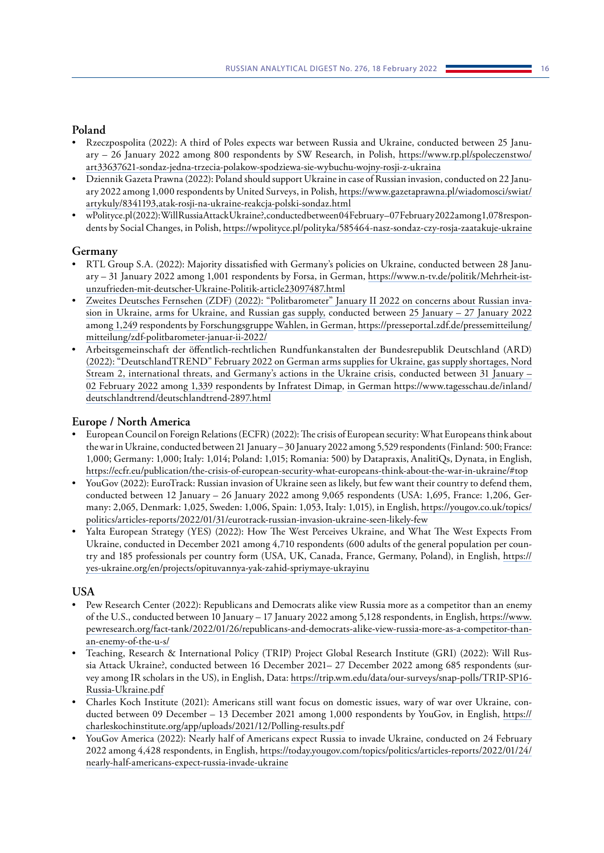# **Poland**

- Rzeczpospolita (2022): A third of Poles expects war between Russia and Ukraine, conducted between 25 January – 26 January 2022 among 800 respondents by SW Research, in Polish, [https://www.rp.pl/spoleczenstwo/](https://www.rp.pl/spoleczenstwo/art33637621-sondaz-jedna-trzecia-polakow-spodziewa-sie-wybuchu-wojny-rosji-z-ukraina) [art33637621-sondaz-jedna-trzecia-polakow-spodziewa-sie-wybuchu-wojny-rosji-z-ukraina](https://www.rp.pl/spoleczenstwo/art33637621-sondaz-jedna-trzecia-polakow-spodziewa-sie-wybuchu-wojny-rosji-z-ukraina)
- Dziennik Gazeta Prawna (2022): Poland should support Ukraine in case of Russian invasion, conducted on 22 January 2022 among 1,000 respondents by United Surveys, in Polish, [https://www.gazetaprawna.pl/wiadomosci/swiat/](https://www.gazetaprawna.pl/wiadomosci/swiat/artykuly/8341193,atak-rosji-na-ukraine-reakcja-polski-sondaz.html) [artykuly/8341193,atak-rosji-na-ukraine-reakcja-polski-sondaz.html](https://www.gazetaprawna.pl/wiadomosci/swiat/artykuly/8341193,atak-rosji-na-ukraine-reakcja-polski-sondaz.html)
- wPolityce.pl (2022): Will Russia Attack Ukraine?, conducted between 04February 07February 2022 among 1,078 respondents by Social Changes, in Polish,<https://wpolityce.pl/polityka/585464-nasz-sondaz-czy-rosja-zaatakuje-ukraine>

# **Germany**

- RTL Group S.A. (2022): Majority dissatisfied with Germany's policies on Ukraine, conducted between 28 January – 31 January 2022 among 1,001 respondents by Forsa, in German, [https://www.n-tv.de/politik/Mehrheit-ist](https://www.n-tv.de/politik/Mehrheit-ist-unzufrieden-mit-deutscher-Ukraine-Politik-article23097487.html)[unzufrieden-mit-deutscher-Ukraine-Politik-article23097487.html](https://www.n-tv.de/politik/Mehrheit-ist-unzufrieden-mit-deutscher-Ukraine-Politik-article23097487.html)
- Zweites Deutsches Fernsehen (ZDF) (2022): "Politbarometer" January II 2022 on concerns about Russian invasion in Ukraine, arms for Ukraine, and Russian gas supply, conducted between 25 January – 27 January 2022 among 1,249 respondents by Forschungsgruppe Wahlen, in German, [https://presseportal.zdf.de/pressemitteilung/](https://presseportal.zdf.de/pressemitteilung/mitteilung/zdf-politbarometer-januar-ii-2022/) [mitteilung/zdf-politbarometer-januar-ii-2022/](https://presseportal.zdf.de/pressemitteilung/mitteilung/zdf-politbarometer-januar-ii-2022/)
- Arbeitsgemeinschaft der öffentlich-rechtlichen Rundfunkanstalten der Bundesrepublik Deutschland (ARD) (2022): "DeutschlandTREND" February 2022 on German arms supplies for Ukraine, gas supply shortages, Nord Stream 2, international threats, and Germany's actions in the Ukraine crisis, conducted between 31 January – 02 February 2022 among 1,339 respondents by Infratest Dimap, in German [https://www.tagesschau.de/inland/](https://www.tagesschau.de/inland/deutschlandtrend/deutschlandtrend-2897.html) [deutschlandtrend/deutschlandtrend-2897.html](https://www.tagesschau.de/inland/deutschlandtrend/deutschlandtrend-2897.html)

# **Europe / North America**

- European Council on Foreign Relations (ECFR) (2022): The crisis of European security: What Europeans think about the war in Ukraine, conducted between 21 January – 30 January 2022 among 5,529 respondents (Finland: 500; France: 1,000; Germany: 1,000; Italy: 1,014; Poland: 1,015; Romania: 500) by Datapraxis, AnalitiQs, Dynata, in English, <https://ecfr.eu/publication/the-crisis-of-european-security-what-europeans-think-about-the-war-in-ukraine/#top>
- YouGov (2022): EuroTrack: Russian invasion of Ukraine seen as likely, but few want their country to defend them, conducted between 12 January – 26 January 2022 among 9,065 respondents (USA: 1,695, France: 1,206, Germany: 2,065, Denmark: 1,025, Sweden: 1,006, Spain: 1,053, Italy: 1,015), in English, [https://yougov.co.uk/topics/](https://yougov.co.uk/topics/politics/articles-reports/2022/01/31/eurotrack-russian-invasion-ukraine-seen-likely-few) [politics/articles-reports/2022/01/31/eurotrack-russian-invasion-ukraine-seen-likely-few](https://yougov.co.uk/topics/politics/articles-reports/2022/01/31/eurotrack-russian-invasion-ukraine-seen-likely-few)
- Yalta European Strategy (YES) (2022): How The West Perceives Ukraine, and What The West Expects From Ukraine, conducted in December 2021 among 4,710 respondents (600 adults of the general population per country and 185 professionals per country form (USA, UK, Canada, France, Germany, Poland), in English, [https://](https://yes-ukraine.org/en/projects/opituvannya-yak-zahid-spriymaye-ukrayinu) [yes-ukraine.org/en/projects/opituvannya-yak-zahid-spriymaye-ukrayinu](https://yes-ukraine.org/en/projects/opituvannya-yak-zahid-spriymaye-ukrayinu)

# **USA**

- Pew Research Center (2022): Republicans and Democrats alike view Russia more as a competitor than an enemy of the U.S., conducted between 10 January – 17 January 2022 among 5,128 respondents, in English, [https://www.](https://www.pewresearch.org/fact-tank/2022/01/26/republicans-and-democrats-alike-view-russia-more-as-a-competitor-than-an-enemy-of-the-u-s/) [pewresearch.org/fact-tank/2022/01/26/republicans-and-democrats-alike-view-russia-more-as-a-competitor-than](https://www.pewresearch.org/fact-tank/2022/01/26/republicans-and-democrats-alike-view-russia-more-as-a-competitor-than-an-enemy-of-the-u-s/)[an-enemy-of-the-u-s/](https://www.pewresearch.org/fact-tank/2022/01/26/republicans-and-democrats-alike-view-russia-more-as-a-competitor-than-an-enemy-of-the-u-s/)
- Teaching, Research & International Policy (TRIP) Project Global Research Institute (GRI) (2022): Will Russia Attack Ukraine?, conducted between 16 December 2021– 27 December 2022 among 685 respondents (survey among IR scholars in the US), in English, Data: [https://trip.wm.edu/data/our-surveys/snap-polls/TRIP-SP16-](https://trip.wm.edu/data/our-surveys/snap-polls/TRIP-SP16-Russia-Ukraine.pdf) [Russia-Ukraine.pdf](https://trip.wm.edu/data/our-surveys/snap-polls/TRIP-SP16-Russia-Ukraine.pdf)
- Charles Koch Institute (2021): Americans still want focus on domestic issues, wary of war over Ukraine, conducted between 09 December – 13 December 2021 among 1,000 respondents by YouGov, in English, [https://](https://charleskochinstitute.org/app/uploads/2021/12/Polling-results.pdf) [charleskochinstitute.org/app/uploads/2021/12/Polling-results.pdf](https://charleskochinstitute.org/app/uploads/2021/12/Polling-results.pdf)
- YouGov America (2022): Nearly half of Americans expect Russia to invade Ukraine, conducted on 24 February 2022 among 4,428 respondents, in English, [https://today.yougov.com/topics/politics/articles-reports/2022/01/24/](https://today.yougov.com/topics/politics/articles-reports/2022/01/24/nearly-half-americans-expect-russia-invade-ukraine) [nearly-half-americans-expect-russia-invade-ukraine](https://today.yougov.com/topics/politics/articles-reports/2022/01/24/nearly-half-americans-expect-russia-invade-ukraine)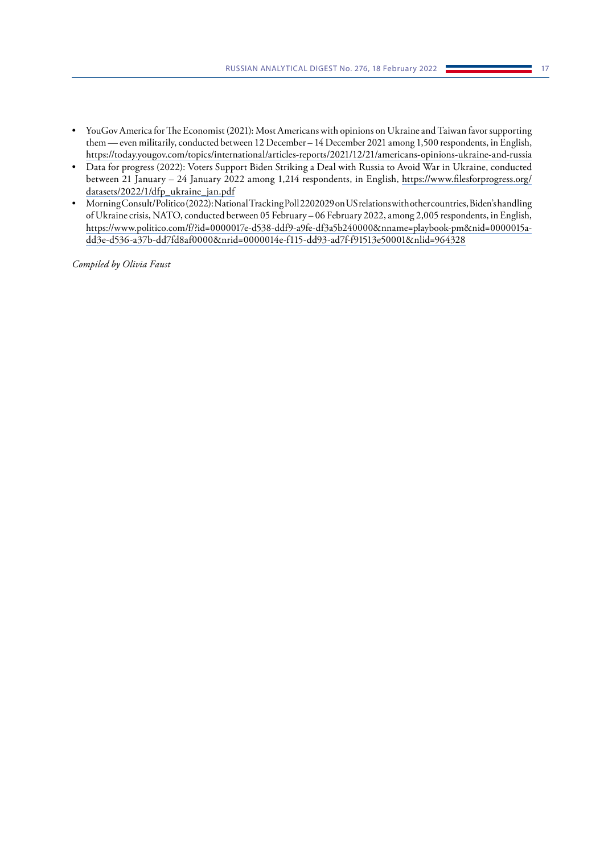- YouGov America for The Economist (2021): Most Americans with opinions on Ukraine and Taiwan favor supporting them — even militarily, conducted between 12 December – 14 December 2021 among 1,500 respondents, in English, <https://today.yougov.com/topics/international/articles-reports/2021/12/21/americans-opinions-ukraine-and-russia>
- Data for progress (2022): Voters Support Biden Striking a Deal with Russia to Avoid War in Ukraine, conducted between 21 January – 24 January 2022 among 1,214 respondents, in English, [https://www.filesforprogress.org/](https://www.filesforprogress.org/datasets/2022/1/dfp_ukraine_jan.pdf) [datasets/2022/1/dfp\\_ukraine\\_jan.pdf](https://www.filesforprogress.org/datasets/2022/1/dfp_ukraine_jan.pdf)
- Morning Consult/Politico (2022): National Tracking Poll 2202029 on US relations with other countries, Biden's handling of Ukraine crisis, NATO, conducted between 05 February – 06 February 2022, among 2,005 respondents, in English, [https://www.politico.com/f/?id=0000017e-d538-ddf9-a9fe-df3a5b240000&nname=playbook-pm&nid=0000015a](https://www.politico.com/f/?id=0000017e-d538-ddf9-a9fe-df3a5b240000&nname=playbook-pm&nid=0000015a-dd3e-d536-a37b-dd7fd8af0000&nrid=0000014e-f115-dd93-ad7f-f91513e50001&nlid=964328)[dd3e-d536-a37b-dd7fd8af0000&nrid=0000014e-f115-dd93-ad7f-f91513e50001&nlid=964328](https://www.politico.com/f/?id=0000017e-d538-ddf9-a9fe-df3a5b240000&nname=playbook-pm&nid=0000015a-dd3e-d536-a37b-dd7fd8af0000&nrid=0000014e-f115-dd93-ad7f-f91513e50001&nlid=964328)

*Compiled by Olivia Faust*